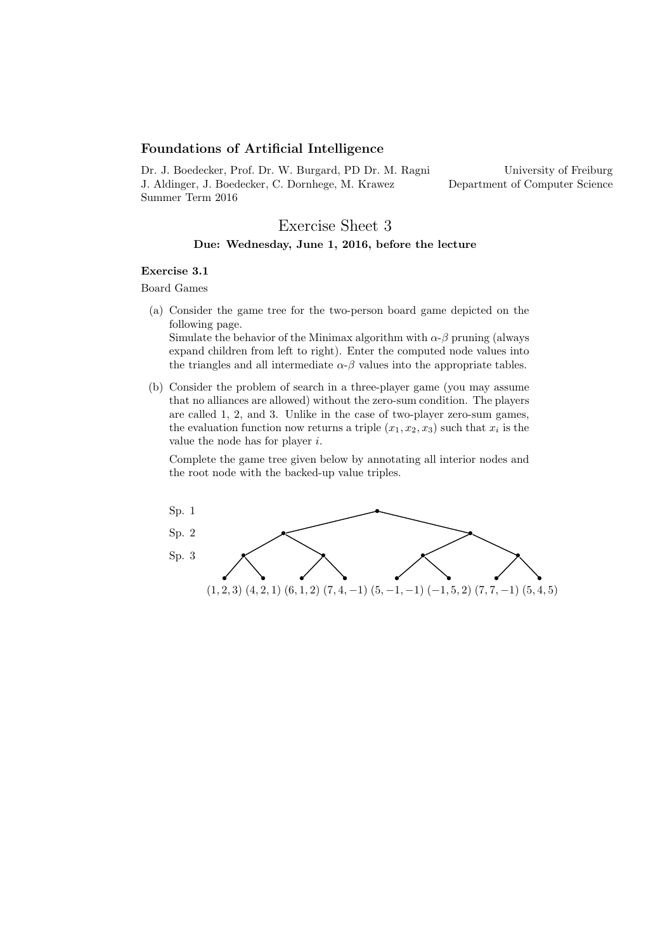## Foundations of Artificial Intelligence

Dr. J. Boedecker, Prof. Dr. W. Burgard, PD Dr. M. Ragni J. Aldinger, J. Boedecker, C. Dornhege, M. Krawez Summer Term 2016

<span id="page-0-0"></span>University of Freiburg Department of Computer Science

## Exercise Sheet 3 Due: Wednesday, June 1, 2016, before the lecture

## Exercise 3.1

Board Games

- (a) Consider the game tree for the two-person board game depicted on the following page. Simulate the behavior of the Minimax algorithm with  $\alpha$ - $\beta$  pruning (always expand children from left to right). Enter the computed node values into the triangles and all intermediate  $\alpha$ - $\beta$  values into the appropriate tables.
- (b) Consider the problem of search in a three-player game (you may assume that no alliances are allowed) without the zero-sum condition. The players are called 1, 2, and 3. Unlike in the case of two-player zero-sum games, the evaluation function now returns a triple  $(x_1, x_2, x_3)$  such that  $x_i$  is the value the node has for player i.

Complete the game tree given below by annotating all interior nodes and the root node with the backed-up value triples.

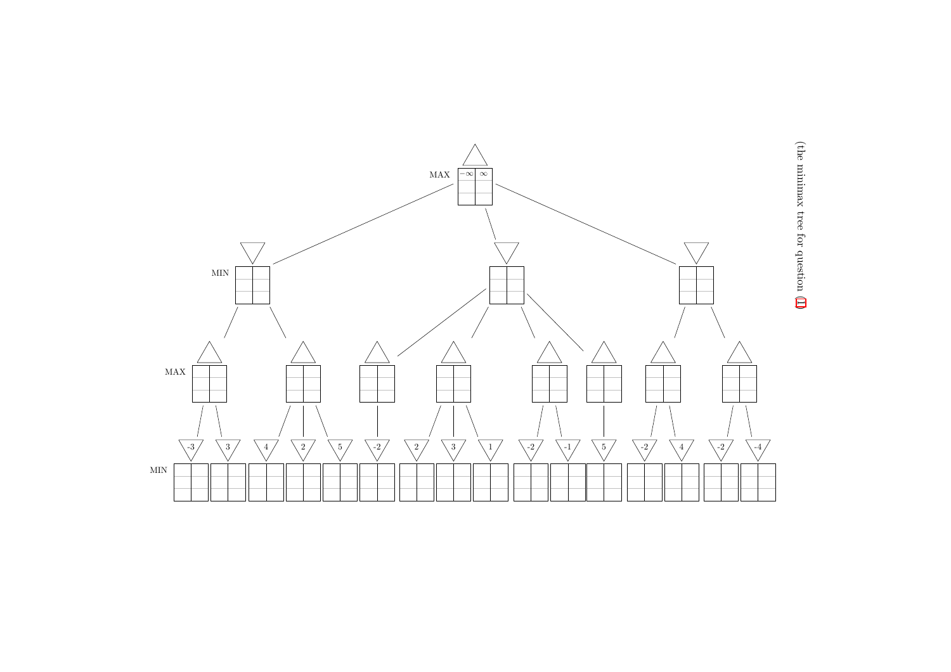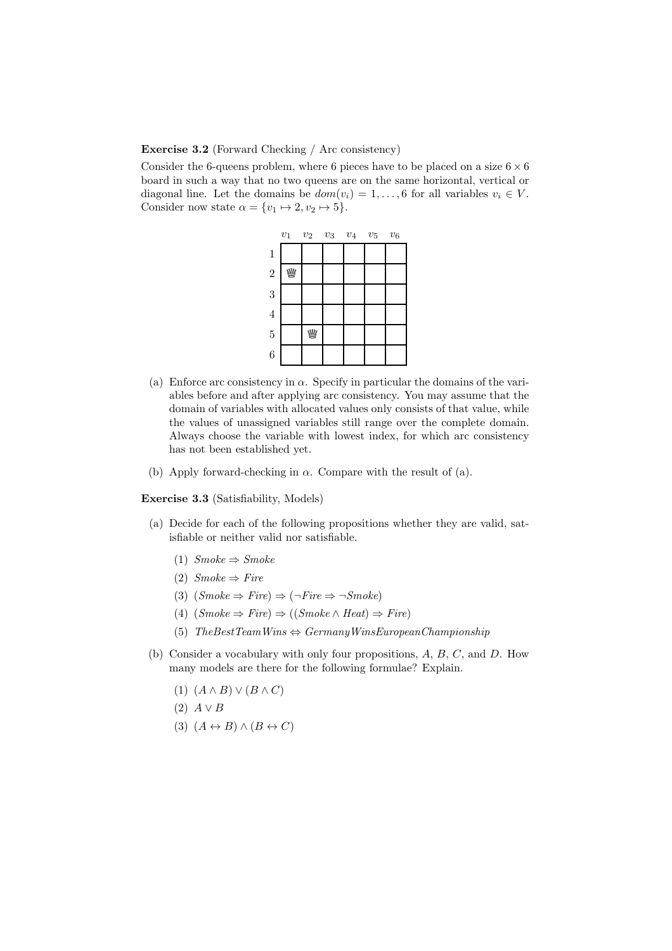## Exercise 3.2 (Forward Checking / Arc consistency)

Consider the 6-queens problem, where 6 pieces have to be placed on a size  $6 \times 6$ board in such a way that no two queens are on the same horizontal, vertical or diagonal line. Let the domains be  $dom(v_i) = 1, \ldots, 6$  for all variables  $v_i \in V$ . Consider now state  $\alpha = \{v_1 \mapsto 2, v_2 \mapsto 5\}.$ 



- (a) Enforce arc consistency in  $\alpha$ . Specify in particular the domains of the variables before and after applying arc consistency. You may assume that the domain of variables with allocated values only consists of that value, while the values of unassigned variables still range over the complete domain. Always choose the variable with lowest index, for which arc consistency has not been established yet.
- (b) Apply forward-checking in  $\alpha$ . Compare with the result of (a).

Exercise 3.3 (Satisfiability, Models)

- (a) Decide for each of the following propositions whether they are valid, satisfiable or neither valid nor satisfiable.
	- (1)  $Smoke \Rightarrow Smoke$
	- (2)  $Smoke \Rightarrow Fire$
	- (3)  $(Smoke \Rightarrow Fire) \Rightarrow (\neg Fire \Rightarrow \neg Smoke)$
	- (4)  $(Smoke \Rightarrow Fire) \Rightarrow ((Smoke \land Heat) \Rightarrow Fire)$
	- (5)  $The Best TeamWins \Leftrightarrow GermanyWinsEuropean Championship$
- (b) Consider a vocabulary with only four propositions, A, B, C, and D. How many models are there for the following formulae? Explain.
	- (1)  $(A \wedge B) \vee (B \wedge C)$
	- $(2)$   $A \vee B$
	- (3)  $(A \leftrightarrow B) \land (B \leftrightarrow C)$